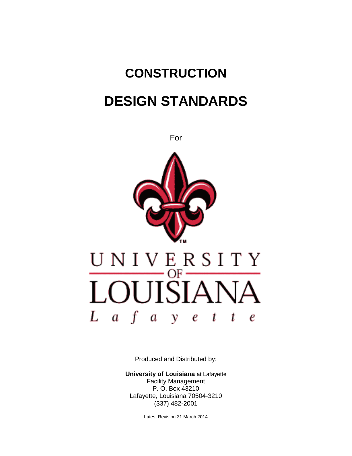# **CONSTRUCTION DESIGN STANDARDS**



Produced and Distributed by:

**University of Louisiana** at Lafayette Facility Management P. O. Box 43210 Lafayette, Louisiana 70504-3210 (337) 482-2001

Latest Revision 31 March 2014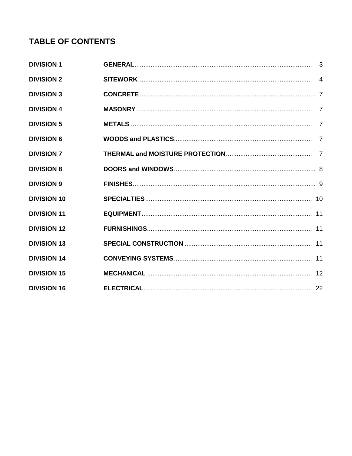## **TABLE OF CONTENTS**

| <b>DIVISION 1</b>  |  |
|--------------------|--|
| <b>DIVISION 2</b>  |  |
| <b>DIVISION 3</b>  |  |
| <b>DIVISION 4</b>  |  |
| <b>DIVISION 5</b>  |  |
| <b>DIVISION 6</b>  |  |
| <b>DIVISION 7</b>  |  |
| <b>DIVISION 8</b>  |  |
| <b>DIVISION 9</b>  |  |
| <b>DIVISION 10</b> |  |
| <b>DIVISION 11</b> |  |
| <b>DIVISION 12</b> |  |
| <b>DIVISION 13</b> |  |
| <b>DIVISION 14</b> |  |
| <b>DIVISION 15</b> |  |
| <b>DIVISION 16</b> |  |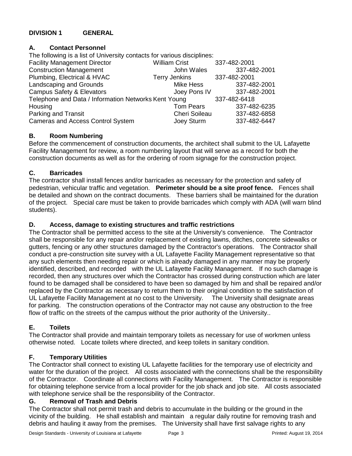## **DIVISION 1 GENERAL**

## **A. Contact Personnel**

The following is a list of University contacts for various disciplines: Facility Management Director William Crist 337-482-2001 Construction Management John Wales 337-482-2001 Plumbing, Electrical & HVAC Terry Jenkins 337-482-2001 Landscaping and Grounds Mike Hess 337-482-2001 Campus Safety & Elevators **Campus Safety & Elevators** Joey Pons IV 337-482-2001 Telephone and Data / Information Networks Kent Young 337-482-6418 Housing Tom Pears 337-482-6235 Parking and Transit Cheri Soileau 337-482-6858 Cameras and Access Control System Joey Sturm 337-482-6447

## **B. Room Numbering**

Before the commencement of construction documents, the architect shall submit to the UL Lafayette Facility Management for review, a room numbering layout that will serve as a record for both the construction documents as well as for the ordering of room signage for the construction project.

## **C. Barricades**

The contractor shall install fences and/or barricades as necessary for the protection and safety of pedestrian, vehicular traffic and vegetation. **Perimeter should be a site proof fence.** Fences shall be detailed and shown on the contract documents. These barriers shall be maintained for the duration of the project. Special care must be taken to provide barricades which comply with ADA (will warn blind students).

## **D. Access, damage to existing structures and traffic restrictions**

The Contractor shall be permitted access to the site at the University's convenience. The Contractor shall be responsible for any repair and/or replacement of existing lawns, ditches, concrete sidewalks or gutters, fencing or any other structures damaged by the Contractor's operations. The Contractor shall conduct a pre-construction site survey with a UL Lafayette Facility Management representative so that any such elements then needing repair or which is already damaged in any manner may be properly identified, described, and recorded with the UL Lafayette Facility Management. If no such damage is recorded, then any structures over which the Contractor has crossed during construction which are later found to be damaged shall be considered to have been so damaged by him and shall be repaired and/or replaced by the Contractor as necessary to return them to their original condition to the satisfaction of UL Lafayette Facility Management at no cost to the University. The University shall designate areas for parking. The construction operations of the Contractor may not cause any obstruction to the free flow of traffic on the streets of the campus without the prior authority of the University..

## **E. Toilets**

The Contractor shall provide and maintain temporary toilets as necessary for use of workmen unless otherwise noted. Locate toilets where directed, and keep toilets in sanitary condition.

## **F. Temporary Utilities**

The Contractor shall connect to existing UL Lafayette facilities for the temporary use of electricity and water for the duration of the project. All costs associated with the connections shall be the responsibility of the Contractor. Coordinate all connections with Facility Management. The Contractor is responsible for obtaining telephone service from a local provider for the job shack and job site. All costs associated with telephone service shall be the responsibility of the Contractor.

## **G. Removal of Trash and Debris**

The Contractor shall not permit trash and debris to accumulate in the building or the ground in the vicinity of the building. He shall establish and maintain a regular daily routine for removing trash and debris and hauling it away from the premises. The University shall have first salvage rights to any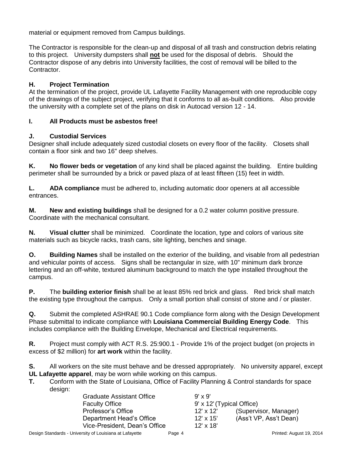material or equipment removed from Campus buildings.

The Contractor is responsible for the clean-up and disposal of all trash and construction debris relating to this project. University dumpsters shall **not** be used for the disposal of debris. Should the Contractor dispose of any debris into University facilities, the cost of removal will be billed to the Contractor.

## **H. Project Termination**

At the termination of the project, provide UL Lafayette Facility Management with one reproducible copy of the drawings of the subject project, verifying that it conforms to all as-built conditions. Also provide the university with a complete set of the plans on disk in Autocad version 12 - 14.

## **I. All Products must be asbestos free!**

## **J. Custodial Services**

Designer shall include adequately sized custodial closets on every floor of the facility. Closets shall contain a floor sink and two 16" deep shelves.

**K. No flower beds or vegetation** of any kind shall be placed against the building. Entire building perimeter shall be surrounded by a brick or paved plaza of at least fifteen (15) feet in width.

**L. ADA compliance** must be adhered to, including automatic door openers at all accessible entrances.

**M. New and existing buildings** shall be designed for a 0.2 water column positive pressure. Coordinate with the mechanical consultant.

**N. Visual clutter** shall be minimized. Coordinate the location, type and colors of various site materials such as bicycle racks, trash cans, site lighting, benches and sinage.

**O. Building Names** shall be installed on the exterior of the building, and visable from all pedestrian and vehicular points of access. Signs shall be rectangular in size, with 10" minimum dark bronze lettering and an off-white, textured aluminum background to match the type installed throughout the campus.

**P.** The **building exterior finish** shall be at least 85% red brick and glass. Red brick shall match the existing type throughout the campus. Only a small portion shall consist of stone and / or plaster.

**Q.** Submit the completed ASHRAE 90.1 Code compliance form along with the Design Development Phase submittal to indicate compliance with **Louisiana Commercial Building Energy Code**. This includes compliance with the Building Envelope, Mechanical and Electrical requirements.

**R.** Project must comply with ACT R.S. 25:900.1 - Provide 1% of the project budget (on projects in excess of \$2 million) for **art work** within the facility.

**S.** All workers on the site must behave and be dressed appropriately. No university apparel, except **UL Lafayette apparel**, may be worn while working on this campus.

**T.** Conform with the State of Louisiana, Office of Facility Planning & Control standards for space design:

| <b>Graduate Assistant Office</b> | $9' \times 9'$            |                        |  |
|----------------------------------|---------------------------|------------------------|--|
| <b>Faculty Office</b>            | 9' x 12' (Typical Office) |                        |  |
| Professor's Office               | $12' \times 12'$          | (Supervisor, Manager)  |  |
| Department Head's Office         | $12' \times 15'$          | (Ass't VP, Ass't Dean) |  |
| Vice-President, Dean's Office    | $12' \times 18'$          |                        |  |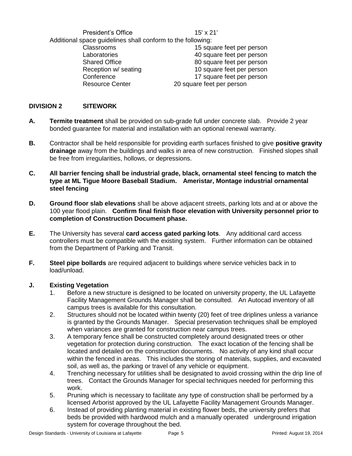President's Office 15' x 21' Additional space guidelines shall conform to the following: Classrooms 15 square feet per person Laboratories 40 square feet per person Shared Office 80 square feet per person Reception w/ seating 10 square feet per person Conference 17 square feet per person Resource Center 20 square feet per person

## **DIVISION 2 SITEWORK**

- **A. Termite treatment** shall be provided on sub-grade full under concrete slab. Provide 2 year bonded guarantee for material and installation with an optional renewal warranty.
- **B.** Contractor shall be held responsible for providing earth surfaces finished to give **positive gravity drainage** away from the buildings and walks in area of new construction. Finished slopes shall be free from irregularities, hollows, or depressions.
- **C. All barrier fencing shall be industrial grade, black, ornamental steel fencing to match the type at ML Tigue Moore Baseball Stadium. Ameristar, Montage industrial ornamental steel fencing**
- **D. Ground floor slab elevations** shall be above adjacent streets, parking lots and at or above the 100 year flood plain. **Confirm final finish floor elevation with University personnel prior to completion of Construction Document phase.**
- **E.** The University has several **card access gated parking lots**. Any additional card access controllers must be compatible with the existing system. Further information can be obtained from the Department of Parking and Transit.
- **F. Steel pipe bollards** are required adjacent to buildings where service vehicles back in to load/unload.

#### **J. Existing Vegetation**

- 1. Before a new structure is designed to be located on university property, the UL Lafayette Facility Management Grounds Manager shall be consulted. An Autocad inventory of all campus trees is available for this consultation.
- 2. Structures should not be located within twenty (20) feet of tree driplines unless a variance is granted by the Grounds Manager. Special preservation techniques shall be employed when variances are granted for construction near campus trees.
- 3. A temporary fence shall be constructed completely around designated trees or other vegetation for protection during construction. The exact location of the fencing shall be located and detailed on the construction documents. No activity of any kind shall occur within the fenced in areas. This includes the storing of materials, supplies, and excavated soil, as well as, the parking or travel of any vehicle or equipment.
- 4. Trenching necessary for utilities shall be designated to avoid crossing within the drip line of trees. Contact the Grounds Manager for special techniques needed for performing this work.
- 5. Pruning which is necessary to facilitate any type of construction shall be performed by a licensed Arborist approved by the UL Lafayette Facility Management Grounds Manager.
- 6. Instead of providing planting material in existing flower beds, the university prefers that beds be provided with hardwood mulch and a manually operated underground irrigation system for coverage throughout the bed.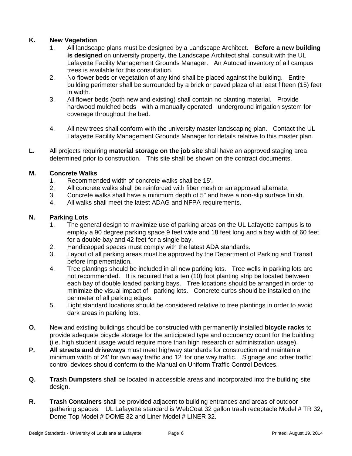## **K. New Vegetation**

- 1. All landscape plans must be designed by a Landscape Architect. **Before a new building is designed** on university property, the Landscape Architect shall consult with the UL Lafayette Facility Management Grounds Manager. An Autocad inventory of all campus trees is available for this consultation.
- 2. No flower beds or vegetation of any kind shall be placed against the building. Entire building perimeter shall be surrounded by a brick or paved plaza of at least fifteen (15) feet in width.
- 3. All flower beds (both new and existing) shall contain no planting material. Provide hardwood mulched beds with a manually operated underground irrigation system for coverage throughout the bed.
- 4. All new trees shall conform with the university master landscaping plan. Contact the UL Lafayette Facility Management Grounds Manager for details relative to this master plan.
- **L.** All projects requiring **material storage on the job site** shall have an approved staging area determined prior to construction. This site shall be shown on the contract documents.

## **M. Concrete Walks**

- 1. Recommended width of concrete walks shall be 15'.
- 2. All concrete walks shall be reinforced with fiber mesh or an approved alternate.
- 3. Concrete walks shall have a minimum depth of 5" and have a non-slip surface finish.
- 4. All walks shall meet the latest ADAG and NFPA requirements.

## **N. Parking Lots**

- 1. The general design to maximize use of parking areas on the UL Lafayette campus is to employ a 90 degree parking space 9 feet wide and 18 feet long and a bay width of 60 feet for a double bay and 42 feet for a single bay.
- 2. Handicapped spaces must comply with the latest ADA standards.
- 3. Layout of all parking areas must be approved by the Department of Parking and Transit before implementation.
- 4. Tree plantings should be included in all new parking lots. Tree wells in parking lots are not recommended. It is required that a ten (10) foot planting strip be located between each bay of double loaded parking bays. Tree locations should be arranged in order to minimize the visual impact of parking lots. Concrete curbs should be installed on the perimeter of all parking edges.
- 5. Light standard locations should be considered relative to tree plantings in order to avoid dark areas in parking lots.
- **O.** New and existing buildings should be constructed with permanently installed **bicycle racks** to provide adequate bicycle storage for the anticipated type and occupancy count for the building (i.e. high student usage would require more than high research or administration usage).
- **P. All streets and driveways** must meet highway standards for construction and maintain a minimum width of 24' for two way traffic and 12' for one way traffic. Signage and other traffic control devices should conform to the Manual on Uniform Traffic Control Devices.
- **Q. Trash Dumpsters** shall be located in accessible areas and incorporated into the building site design.
- **R. Trash Containers** shall be provided adjacent to building entrances and areas of outdoor gathering spaces. UL Lafayette standard is WebCoat 32 gallon trash receptacle Model # TR 32, Dome Top Model # DOME 32 and Liner Model # LINER 32.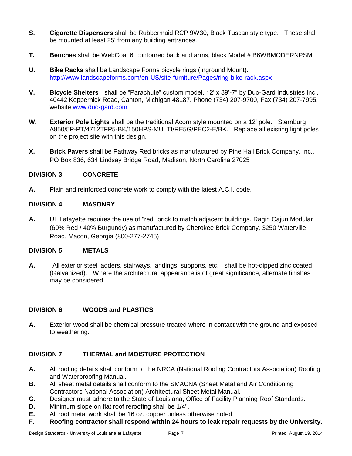- **S. Cigarette Dispensers** shall be Rubbermaid RCP 9W30, Black Tuscan style type. These shall be mounted at least 25' from any building entrances.
- **T. Benches** shall be WebCoat 6' contoured back and arms, black Model # B6WBMODERNPSM.
- **U. Bike Racks** shall be Landscape Forms bicycle rings (Inground Mount). <http://www.landscapeforms.com/en-US/site-furniture/Pages/ring-bike-rack.aspx>
- **V. Bicycle Shelters** shall be "Parachute" custom model, 12' x 39'-7" by Duo-Gard Industries Inc., 40442 Koppernick Road, Canton, Michigan 48187. Phone (734) 207-9700, Fax (734) 207-7995, website [www.duo-gard.com](http://www.duo-gard.com/)
- **W. Exterior Pole Lights** shall be the traditional Acorn style mounted on a 12' pole. Sternburg A850/5P-PT/4712TFP5-BK/150HPS-MULTI/RE5G/PEC2-E/BK. Replace all existing light poles on the project site with this design.
- **X. Brick Pavers** shall be Pathway Red bricks as manufactured by Pine Hall Brick Company, Inc., PO Box 836, 634 Lindsay Bridge Road, Madison, North Carolina 27025

## **DIVISION 3 CONCRETE**

**A.** Plain and reinforced concrete work to comply with the latest A.C.I. code.

#### **DIVISION 4 MASONRY**

**A.** UL Lafayette requires the use of "red" brick to match adjacent buildings. Ragin Cajun Modular (60% Red / 40% Burgundy) as manufactured by Cherokee Brick Company, 3250 Waterville Road, Macon, Georgia (800-277-2745)

#### **DIVISION 5 METALS**

**A.** All exterior steel ladders, stairways, landings, supports, etc. shall be hot-dipped zinc coated (Galvanized). Where the architectural appearance is of great significance, alternate finishes may be considered.

## **DIVISION 6 WOODS and PLASTICS**

**A.** Exterior wood shall be chemical pressure treated where in contact with the ground and exposed to weathering.

## **DIVISION 7 THERMAL and MOISTURE PROTECTION**

- **A.** All roofing details shall conform to the NRCA (National Roofing Contractors Association) Roofing and Waterproofing Manual.
- **B.** All sheet metal details shall conform to the SMACNA (Sheet Metal and Air Conditioning Contractors National Association) Architectural Sheet Metal Manual.
- **C.** Designer must adhere to the State of Louisiana, Office of Facility Planning Roof Standards.
- **D.** Minimum slope on flat roof reroofing shall be 1/4".
- **E.** All roof metal work shall be 16 oz. copper unless otherwise noted.
- **F. Roofing contractor shall respond within 24 hours to leak repair requests by the University.**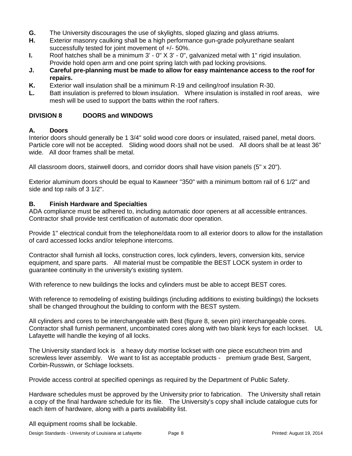- **G.** The University discourages the use of skylights, sloped glazing and glass atriums.
- **H.** Exterior masonry caulking shall be a high performance gun-grade polyurethane sealant successfully tested for joint movement of +/- 50%.
- **I.** Roof hatches shall be a minimum 3' 0" X 3' 0", galvanized metal with 1" rigid insulation. Provide hold open arm and one point spring latch with pad locking provisions.
- **J. Careful pre-planning must be made to allow for easy maintenance access to the roof for repairs.**
- **K.** Exterior wall insulation shall be a minimum R-19 and ceiling/roof insulation R-30.
- **L.** Batt insulation is preferred to blown insulation. Where insulation is installed in roof areas, wire mesh will be used to support the batts within the roof rafters.

## **DIVISION 8 DOORS and WINDOWS**

## **A. Doors**

Interior doors should generally be 1 3/4" solid wood core doors or insulated, raised panel, metal doors. Particle core will not be accepted. Sliding wood doors shall not be used. All doors shall be at least 36" wide. All door frames shall be metal.

All classroom doors, stairwell doors, and corridor doors shall have vision panels ( $5" \times 20"$ ).

Exterior aluminum doors should be equal to Kawneer "350" with a minimum bottom rail of 6 1/2" and side and top rails of 3 1/2".

## **B. Finish Hardware and Specialties**

ADA compliance must be adhered to, including automatic door openers at all accessible entrances. Contractor shall provide test certification of automatic door operation.

Provide 1" electrical conduit from the telephone/data room to all exterior doors to allow for the installation of card accessed locks and/or telephone intercoms.

Contractor shall furnish all locks, construction cores, lock cylinders, levers, conversion kits, service equipment, and spare parts. All material must be compatible the BEST LOCK system in order to guarantee continuity in the university's existing system.

With reference to new buildings the locks and cylinders must be able to accept BEST cores.

With reference to remodeling of existing buildings (including additions to existing buildings) the locksets shall be changed throughout the building to conform with the BEST system.

All cylinders and cores to be interchangeable with Best (figure 8, seven pin) interchangeable cores. Contractor shall furnish permanent, uncombinated cores along with two blank keys for each lockset. UL Lafayette will handle the keying of all locks.

The University standard lock is a heavy duty mortise lockset with one piece escutcheon trim and screwless lever assembly. We want to list as acceptable products - premium grade Best, Sargent, Corbin-Russwin, or Schlage locksets.

Provide access control at specified openings as required by the Department of Public Safety.

Hardware schedules must be approved by the University prior to fabrication. The University shall retain a copy of the final hardware schedule for its file. The University's copy shall include catalogue cuts for each item of hardware, along with a parts availability list.

All equipment rooms shall be lockable.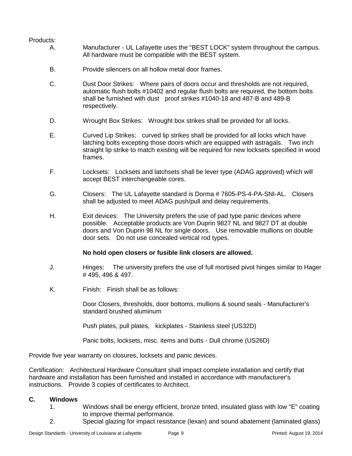## Products:

- A. Manufacturer UL Lafayette uses the "BEST LOCK" system throughout the campus. All hardware must be compatible with the BEST system.
- B. Provide silencers on all hollow metal door frames.
- C. Dust Door Strikes: Where pairs of doors occur and thresholds are not required, automatic flush bolts #10402 and regular flush bolts are required, the bottom bolts shall be furnished with dust proof strikes #1040-18 and 487-B and 489-B respectively.
- D. Wrought Box Strikes: Wrought box strikes shall be provided for all locks.
- E. Curved Lip Strikes: curved lip strikes shall be provided for all locks which have latching bolts excepting those doors which are equipped with astragals. Two inch straight lip strike to match existing will be required for new locksets specified in wood frames.
- F. Locksets: Locksets and latchsets shall be lever type (ADAG approved) which will accept BEST interchangeable cores.
- G. Closers: The UL Lafayette standard is Dorma # 7605-PS-4-PA-SNI-AL. Closers shall be adjusted to meet ADAG push/pull and delay requirements.
- H. Exit devices: The University prefers the use of pad type panic devices where possible. Acceptable products are Von Duprin 9827 NL and 9827 DT at double doors and Von Duprin 98 NL for single doors. Use removable mullions on double door sets. Do not use concealed vertical rod types.

#### **No hold open closers or fusible link closers are allowed.**

- J. Hinges: The university prefers the use of full mortised pivot hinges similar to Hager # 495, 496 & 497.
- K. Finish: Finish shall be as follows:

Door Closers, thresholds, door bottoms, mullions & sound seals - Manufacturer's standard brushed aluminum

Push plates, pull plates, kickplates - Stainless steel (US32D)

Panic bolts, locksets, misc. items and butts - Dull chrome (US26D)

Provide five year warranty on closures, locksets and panic devices.

Certification: Architectural Hardware Consultant shall impact complete installation and certify that hardware and installation has been furnished and installed in accordance with manufacturer's instructions. Provide 3 copies of certificates to Architect.

#### **C. Windows**

- 1. Windows shall be energy efficient, bronze tinted, insulated glass with low "E" coating to improve thermal performance.
- 2. Special glazing for impact resistance (lexan) and sound abatement (laminated glass)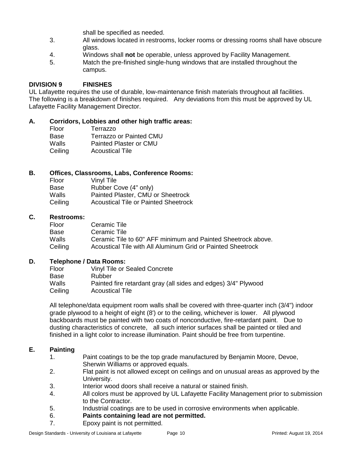shall be specified as needed.

- 3. All windows located in restrooms, locker rooms or dressing rooms shall have obscure glass.
- 4. Windows shall **not** be operable, unless approved by Facility Management.
- 5. Match the pre-finished single-hung windows that are installed throughout the campus.

## **DIVISION 9 FINISHES**

UL Lafayette requires the use of durable, low-maintenance finish materials throughout all facilities. The following is a breakdown of finishes required. Any deviations from this must be approved by UL Lafayette Facility Management Director.

## **A. Corridors, Lobbies and other high traffic areas:**

Floor Terrazzo Base Terrazzo or Painted CMU Walls Painted Plaster or CMU Ceiling Acoustical Tile

## **B. Offices, Classrooms, Labs, Conference Rooms:**

| Vinyl Tile                                  |
|---------------------------------------------|
| Rubber Cove (4" only)                       |
| Painted Plaster, CMU or Sheetrock           |
| <b>Acoustical Tile or Painted Sheetrock</b> |
|                                             |

#### **C. Restrooms:**

| Floor   | Ceramic Tile                                                 |
|---------|--------------------------------------------------------------|
| Base    | Ceramic Tile                                                 |
| Walls   | Ceramic Tile to 60" AFF minimum and Painted Sheetrock above. |
| Ceiling | Acoustical Tile with All Aluminum Grid or Painted Sheetrock  |

## **D. Telephone / Data Rooms:**

| Floor   | <b>Vinyl Tile or Sealed Concrete</b>                           |
|---------|----------------------------------------------------------------|
| Base    | Rubber                                                         |
| Walls   | Painted fire retardant gray (all sides and edges) 3/4" Plywood |
| Ceiling | <b>Acoustical Tile</b>                                         |

All telephone/data equipment room walls shall be covered with three-quarter inch (3/4") indoor grade plywood to a height of eight (8') or to the ceiling, whichever is lower. All plywood backboards must be painted with two coats of nonconductive, fire-retardant paint. Due to dusting characteristics of concrete, all such interior surfaces shall be painted or tiled and finished in a light color to increase illumination. Paint should be free from turpentine.

## **E. Painting**

- 1. Paint coatings to be the top grade manufactured by Benjamin Moore, Devoe, Sherwin Williams or approved equals.
- 2. Flat paint is not allowed except on ceilings and on unusual areas as approved by the University.
- 3. Interior wood doors shall receive a natural or stained finish.
- 4. All colors must be approved by UL Lafayette Facility Management prior to submission to the Contractor.
- 5. Industrial coatings are to be used in corrosive environments when applicable.
- 6. **Paints containing lead are not permitted.**
- 7. Epoxy paint is not permitted.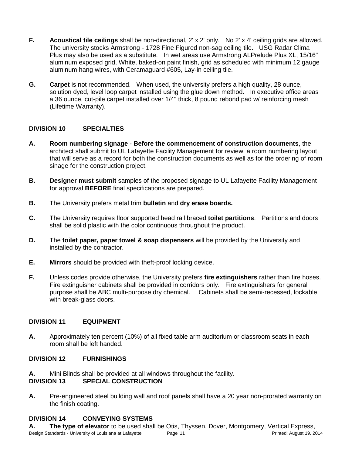- **F. Acoustical tile ceilings** shall be non-directional, 2' x 2' only. No 2' x 4' ceiling grids are allowed. The university stocks Armstrong - 1728 Fine Figured non-sag ceiling tile. USG Radar Clima Plus may also be used as a substitute. In wet areas use Armstrong ALPrelude Plus XL, 15/16" aluminum exposed grid, White, baked-on paint finish, grid as scheduled with minimum 12 gauge aluminum hang wires, with Ceramaguard #605, Lay-in ceiling tile.
- **G. Carpet** is not recommended. When used, the university prefers a high quality, 28 ounce, solution dyed, level loop carpet installed using the glue down method. In executive office areas a 36 ounce, cut-pile carpet installed over 1/4" thick, 8 pound rebond pad w/ reinforcing mesh (Lifetime Warranty).

## **DIVISION 10 SPECIALTIES**

- **A. Room numbering signage Before the commencement of construction documents**, the architect shall submit to UL Lafayette Facility Management for review, a room numbering layout that will serve as a record for both the construction documents as well as for the ordering of room sinage for the construction project.
- **B. Designer must submit** samples of the proposed signage to UL Lafayette Facility Management for approval **BEFORE** final specifications are prepared.
- **B.** The University prefers metal trim **bulletin** and **dry erase boards.**
- **C.** The University requires floor supported head rail braced **toilet partitions**. Partitions and doors shall be solid plastic with the color continuous throughout the product.
- **D.** The **toilet paper, paper towel & soap dispensers** will be provided by the University and installed by the contractor.
- **E. Mirrors** should be provided with theft-proof locking device.
- **F.** Unless codes provide otherwise, the University prefers **fire extinguishers** rather than fire hoses. Fire extinguisher cabinets shall be provided in corridors only. Fire extinguishers for general purpose shall be ABC multi-purpose dry chemical. Cabinets shall be semi-recessed, lockable with break-glass doors.

## **DIVISION 11 EQUIPMENT**

**A.** Approximately ten percent (10%) of all fixed table arm auditorium or classroom seats in each room shall be left handed.

## **DIVISION 12 FURNISHINGS**

**A.** Mini Blinds shall be provided at all windows throughout the facility.

## **DIVISION 13 SPECIAL CONSTRUCTION**

**A.** Pre-engineered steel building wall and roof panels shall have a 20 year non-prorated warranty on the finish coating.

## **DIVISION 14 CONVEYING SYSTEMS**

Design Standards - University of Louisiana at Lafayette Page 11 Printed: August 19, 2014 **A. The type of elevator** to be used shall be Otis, Thyssen, Dover, Montgomery, Vertical Express,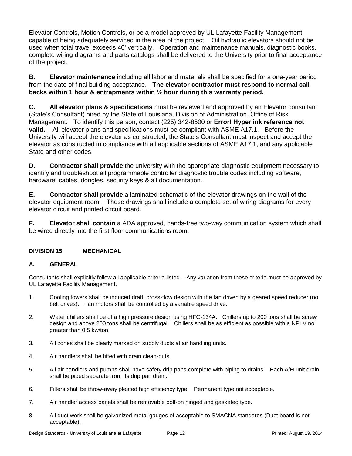Elevator Controls, Motion Controls, or be a model approved by UL Lafayette Facility Management, capable of being adequately serviced in the area of the project. Oil hydraulic elevators should not be used when total travel exceeds 40' vertically. Operation and maintenance manuals, diagnostic books, complete wiring diagrams and parts catalogs shall be delivered to the University prior to final acceptance of the project.

**B. Elevator maintenance** including all labor and materials shall be specified for a one-year period from the date of final building acceptance. **The elevator contractor must respond to normal call backs within 1 hour & entrapments within ½ hour during this warranty period.**

**C. All elevator plans & specifications** must be reviewed and approved by an Elevator consultant (State's Consultant) hired by the State of Louisiana, Division of Administration, Office of Risk Management. To identify this person, contact (225) 342-8500 or **Error! Hyperlink reference not valid.**. All elevator plans and specifications must be compliant with ASME A17.1. Before the University will accept the elevator as constructed, the State's Consultant must inspect and accept the elevator as constructed in compliance with all applicable sections of ASME A17.1, and any applicable State and other codes.

**D. Contractor shall provide** the university with the appropriate diagnostic equipment necessary to identify and troubleshoot all programmable controller diagnostic trouble codes including software, hardware, cables, dongles, security keys & all documentation.

**E. Contractor shall provide** a laminated schematic of the elevator drawings on the wall of the elevator equipment room. These drawings shall include a complete set of wiring diagrams for every elevator circuit and printed circuit board.

**F. Elevator shall contain** a ADA approved, hands-free two-way communication system which shall be wired directly into the first floor communications room.

## **DIVISION 15 MECHANICAL**

## **A. GENERAL**

Consultants shall explicitly follow all applicable criteria listed. Any variation from these criteria must be approved by UL Lafayette Facility Management.

- 1. Cooling towers shall be induced draft, cross-flow design with the fan driven by a geared speed reducer (no belt drives). Fan motors shall be controlled by a variable speed drive.
- 2. Water chillers shall be of a high pressure design using HFC-134A. Chillers up to 200 tons shall be screw design and above 200 tons shall be centrifugal. Chillers shall be as efficient as possible with a NPLV no greater than 0.5 kw/ton.
- 3. All zones shall be clearly marked on supply ducts at air handling units.
- 4. Air handlers shall be fitted with drain clean-outs.
- 5. All air handlers and pumps shall have safety drip pans complete with piping to drains. Each A/H unit drain shall be piped separate from its drip pan drain.
- 6. Filters shall be throw-away pleated high efficiency type. Permanent type not acceptable.
- 7. Air handler access panels shall be removable bolt-on hinged and gasketed type.
- 8. All duct work shall be galvanized metal gauges of acceptable to SMACNA standards (Duct board is not acceptable).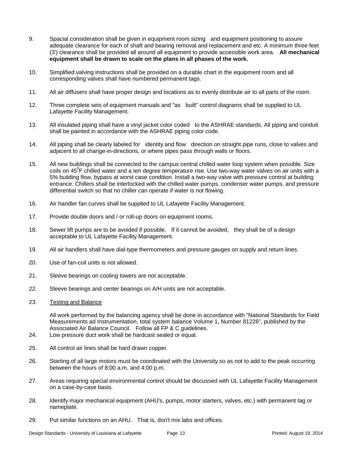- 9. Spacial consideration shall be given in equipment room sizing and equipment positioning to assure adequate clearance for each of shaft and bearing removal and replacement and etc. A minimum three feet (3') clearance shall be provided all around all equipment to provide accessible work area. **All mechanical equipment shall be drawn to scale on the plans in all phases of the work.**
- 10. Simplified valving instructions shall be provided on a durable chart in the equipment room and all corresponding valves shall have numbered permanent tags.
- 11. All air diffusers shall have proper design and locations as to evenly distribute air to all parts of the room.
- 12. Three complete sets of equipment manuals and "as built" control diagrams shall be supplied to UL Lafayette Facility Management.
- 13. All insulated piping shall have a vinyl jacket color coded to the ASHRAE standards. All piping and conduit shall be painted in accordance with the ASHRAE piping color code.
- 14. All piping shall be clearly labeled for identity and flow direction on straight pipe runs, close to valves and adjacent to all change-in-directions, or where pipes pass through walls or floors.
- 15. All new buildings shall be connected to the campus central chilled water loop system when possible. Size coils on 45<sup>°</sup>F chilled water and a ten degree temperature rise. Use two-way water valves on air units with a 5% building flow, bypass at worst case condition. Install a two-way valve with pressure control at building entrance. Chillers shall be interlocked with the chilled water pumps, condenser water pumps, and pressure differential switch so that no chiller can operate if water is not flowing.
- 16. Air handler fan curves shall be supplied to UL Lafayette Facility Management.
- 17. Provide double doors and / or roll-up doors on equipment rooms.
- 18. Sewer lift pumps are to be avoided if possible. If it cannot be avoided, they shall be of a design acceptable to UL Lafayette Facility Management.
- 19. All air handlers shall have dial-type thermometers and pressure gauges on supply and return lines.
- 20. Use of fan-coil units is not allowed.
- 21. Sleeve bearings on cooling towers are not acceptable.
- 22. Sleeve bearings and center bearings on A/H units are not acceptable.
- 23. Testing and Balance

All work performed by the balancing agency shall be done in accordance with "National Standards for Field Measurements ad Instrumentation, total system balance Volume 1, Number 81226", published by the Associated Air Balance Council. Follow all FP & C guidelines.

- 24. Low pressure duct work shall be hardcast sealed or equal.
- 25. All control air lines shall be hard drawn copper.
- 26. Starting of all large motors must be coordinated with the University so as not to add to the peak occurring between the hours of 8:00 a.m. and 4:00 p.m.
- 27. Areas requiring special environmental control should be discussed with UL Lafayette Facility Management on a case-by-case basis.
- 28. Identify major mechanical equipment (AHU's, pumps, motor starters, valves, etc.) with permanent tag or nameplate.
- 29. Put similar functions on an AHU. That is, don't mix labs and offices.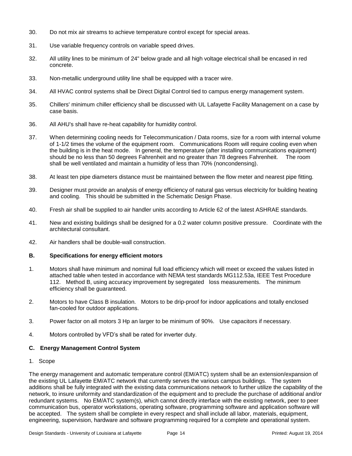- 30. Do not mix air streams to achieve temperature control except for special areas.
- 31. Use variable frequency controls on variable speed drives.
- 32. All utility lines to be minimum of 24" below grade and all high voltage electrical shall be encased in red concrete.
- 33. Non-metallic underground utility line shall be equipped with a tracer wire.
- 34. All HVAC control systems shall be Direct Digital Control tied to campus energy management system.
- 35. Chillers' minimum chiller efficiency shall be discussed with UL Lafayette Facility Management on a case by case basis.
- 36. All AHU's shall have re-heat capability for humidity control.
- 37. When determining cooling needs for Telecommunication / Data rooms, size for a room with internal volume of 1-1/2 times the volume of the equipment room. Communications Room will require cooling even when the building is in the heat mode. In general, the temperature (after installing communications equipment) should be no less than 50 degrees Fahrenheit and no greater than 78 degrees Fahrenheit. The room shall be well ventilated and maintain a humidity of less than 70% (noncondensing).
- 38. At least ten pipe diameters distance must be maintained between the flow meter and nearest pipe fitting.
- 39. Designer must provide an analysis of energy efficiency of natural gas versus electricity for building heating and cooling. This should be submitted in the Schematic Design Phase.
- 40. Fresh air shall be supplied to air handler units according to Article 62 of the latest ASHRAE standards.
- 41. New and existing buildings shall be designed for a 0.2 water column positive pressure. Coordinate with the architectural consultant.
- 42. Air handlers shall be double-wall construction.

#### **B. Specifications for energy efficient motors**

- 1. Motors shall have minimum and nominal full load efficiency which will meet or exceed the values listed in attached table when tested in accordance with NEMA test standards MG112.53a, IEEE Test Procedure 112. Method B, using accuracy improvement by segregated loss measurements. The minimum efficiency shall be guaranteed.
- 2. Motors to have Class B insulation. Motors to be drip-proof for indoor applications and totally enclosed fan-cooled for outdoor applications.
- 3. Power factor on all motors 3 Hp an larger to be minimum of 90%. Use capacitors if necessary.
- 4. Motors controlled by VFD's shall be rated for inverter duty.

#### **C. Energy Management Control System**

1. Scope

The energy management and automatic temperature control (EM/ATC) system shall be an extension/expansion of the existing UL Lafayette EM/ATC network that currently serves the various campus buildings. The system additions shall be fully integrated with the existing data communications network to further utilize the capability of the network, to insure uniformity and standardization of the equipment and to preclude the purchase of additional and/or redundant systems. No EM/ATC system(s), which cannot directly interface with the existing network, peer to peer communication bus, operator workstations, operating software, programming software and application software will be accepted. The system shall be complete in every respect and shall include all labor, materials, equipment, engineering, supervision, hardware and software programming required for a complete and operational system.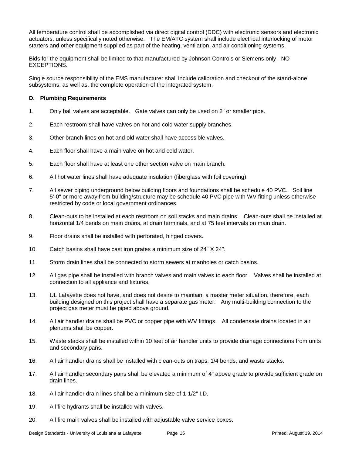All temperature control shall be accomplished via direct digital control (DDC) with electronic sensors and electronic actuators, unless specifically noted otherwise. The EM/ATC system shall include electrical interlocking of motor starters and other equipment supplied as part of the heating, ventilation, and air conditioning systems.

Bids for the equipment shall be limited to that manufactured by Johnson Controls or Siemens only - NO EXCEPTIONS.

Single source responsibility of the EMS manufacturer shall include calibration and checkout of the stand-alone subsystems, as well as, the complete operation of the integrated system.

#### **D. Plumbing Requirements**

- 1. Only ball valves are acceptable. Gate valves can only be used on 2" or smaller pipe.
- 2. Each restroom shall have valves on hot and cold water supply branches.
- 3. Other branch lines on hot and old water shall have accessible valves.
- 4. Each floor shall have a main valve on hot and cold water.
- 5. Each floor shall have at least one other section valve on main branch.
- 6. All hot water lines shall have adequate insulation (fiberglass with foil covering).
- 7. All sewer piping underground below building floors and foundations shall be schedule 40 PVC. Soil line 5'-0" or more away from building/structure may be schedule 40 PVC pipe with WV fitting unless otherwise restricted by code or local government ordinances.
- 8. Clean-outs to be installed at each restroom on soil stacks and main drains. Clean-outs shall be installed at horizontal 1/4 bends on main drains, at drain terminals, and at 75 feet intervals on main drain.
- 9. Floor drains shall be installed with perforated, hinged covers.
- 10. Catch basins shall have cast iron grates a minimum size of 24" X 24".
- 11. Storm drain lines shall be connected to storm sewers at manholes or catch basins.
- 12. All gas pipe shall be installed with branch valves and main valves to each floor. Valves shall be installed at connection to all appliance and fixtures.
- 13. UL Lafayette does not have, and does not desire to maintain, a master meter situation, therefore, each building designed on this project shall have a separate gas meter. Any multi-building connection to the project gas meter must be piped above ground.
- 14. All air handler drains shall be PVC or copper pipe with WV fittings. All condensate drains located in air plenums shall be copper.
- 15. Waste stacks shall be installed within 10 feet of air handler units to provide drainage connections from units and secondary pans.
- 16. All air handler drains shall be installed with clean-outs on traps, 1/4 bends, and waste stacks.
- 17. All air handler secondary pans shall be elevated a minimum of 4" above grade to provide sufficient grade on drain lines.
- 18. All air handler drain lines shall be a minimum size of 1-1/2" I.D.
- 19. All fire hydrants shall be installed with valves.
- 20. All fire main valves shall be installed with adjustable valve service boxes.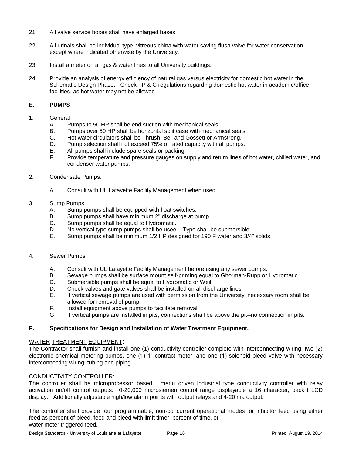- 21. All valve service boxes shall have enlarged bases.
- 22. All urinals shall be individual type, vitreous china with water saving flush valve for water conservation, except where indicated otherwise by the University.
- 23. Install a meter on all gas & water lines to all University buildings.
- 24. Provide an analysis of energy efficiency of natural gas versus electricity for domestic hot water in the Schematic Design Phase. Check FP & C regulations regarding domestic hot water in academic/office facilities, as hot water may not be allowed.

#### **E. PUMPS**

- 1. General
	- A. Pumps to 50 HP shall be end suction with mechanical seals.
	- B. Pumps over 50 HP shall be horizontal split case with mechanical seals.
	- C. Hot water circulators shall be Thrush, Bell and Gossett or Armstrong.
	- D. Pump selection shall not exceed 75% of rated capacity with all pumps.
	- E. All pumps shall include spare seals or packing.
	- F. Provide temperature and pressure gauges on supply and return lines of hot water, chilled water, and condenser water pumps.
- 2. Condensate Pumps:
	- A. Consult with UL Lafayette Facility Management when used.

#### 3. Sump Pumps:

- A. Sump pumps shall be equipped with float switches.
- B. Sump pumps shall have minimum 2" discharge at pump.
- C. Sump pumps shall be equal to Hydromatic.
- D. No vertical type sump pumps shall be usee. Type shall be submersible.
- E. Sump pumps shall be minimum 1/2 HP designed for 190 F water and 3/4" solids.

#### 4. Sewer Pumps:

- A. Consult with UL Lafayette Facility Management before using any sewer pumps.
- B. Sewage pumps shall be surface mount self-priming equal to Ghorman-Rupp or Hydromatic.
- C. Submersible pumps shall be equal to Hydromatic or Weil.
- D. Check valves and gate valves shall be installed on all discharge lines.
- E. If vertical sewage pumps are used with permission from the University, necessary room shall be allowed for removal of pump.
- F. Install equipment above pumps to facilitate removal.
- G. If vertical pumps are installed in pits, connections shall be above the pit--no connection in pits.

#### **F. Specifications for Design and Installation of Water Treatment Equipment.**

#### WATER TREATMENT EQUIPMENT:

The Contractor shall furnish and install one (1) conductivity controller complete with interconnecting wiring, two (2) electronic chemical metering pumps, one (1) 1" contract meter, and one (1) solenoid bleed valve with necessary interconnecting wiring, tubing and piping.

#### CONDUCTIVITY CONTROLLER:

The controller shall be microprocessor based: menu driven industrial type conductivity controller with relay activation on/off control outputs. 0-20,000 microsiemen control range displayable a 16 character, backlit LCD display. Additionally adjustable high/low alarm points with output relays and 4-20 ma output.

The controller shall provide four programmable, non-concurrent operational modes for inhibitor feed using either feed as percent of bleed, feed and bleed with limit timer, percent of time, or water meter triggered feed.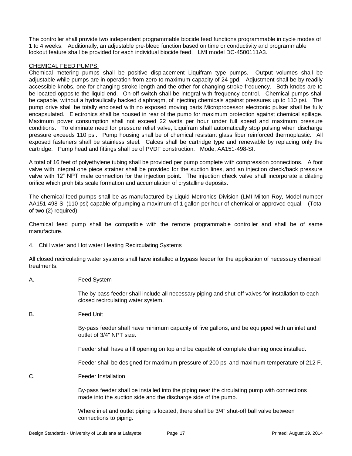The controller shall provide two independent programmable biocide feed functions programmable in cycle modes of 1 to 4 weeks. Additionally, an adjustable pre-bleed function based on time or conductivity and programmable lockout feature shall be provided for each individual biocide feed. LMI model DC-4500111A3.

#### CHEMICAL FEED PUMPS:

Chemical metering pumps shall be positive displacement Liquifram type pumps. Output volumes shall be adjustable while pumps are in operation from zero to maximum capacity of 24 gpd. Adjustment shall be by readily accessible knobs, one for changing stroke length and the other for changing stroke frequency. Both knobs are to be located opposite the liquid end. On-off switch shall be integral with frequency control. Chemical pumps shall be capable, without a hydraulically backed diaphragm, of injecting chemicals against pressures up to 110 psi. The pump drive shall be totally enclosed with no exposed moving parts Microprocessor electronic pulser shall be fully encapsulated. Electronics shall be housed in rear of the pump for maximum protection against chemical spillage. Maximum power consumption shall not exceed 22 watts per hour under full speed and maximum pressure conditions. To eliminate need for pressure relief valve, Liquifram shall automatically stop pulsing when discharge pressure exceeds 110 psi. Pump housing shall be of chemical resistant glass fiber reinforced thermoplastic. All exposed fasteners shall be stainless steel. Calces shall be cartridge type and renewable by replacing only the cartridge. Pump head and fittings shall be of PVDF construction. Mode; AA151-498-SI.

A total of 16 feet of polyethylene tubing shall be provided per pump complete with compression connections. A foot valve with integral one piece strainer shall be provided for the suction lines, and an injection check/back pressure valve with 12" NPT male connection for the injection point. The injection check valve shall incorporate a dilating orifice which prohibits scale formation and accumulation of crystalline deposits.

The chemical feed pumps shall be as manufactured by Liquid Metronics Division (LMI Milton Roy, Model number AA151-498-SI (110 psi) capable of pumping a maximum of 1 gallon per hour of chemical or approved equal. (Total of two (2) required).

Chemical feed pump shall be compatible with the remote programmable controller and shall be of same manufacture.

4. Chill water and Hot water Heating Recirculating Systems

All closed recirculating water systems shall have installed a bypass feeder for the application of necessary chemical treatments.

A. Feed System

The by-pass feeder shall include all necessary piping and shut-off valves for installation to each closed recirculating water system.

B. Feed Unit

By-pass feeder shall have minimum capacity of five gallons, and be equipped with an inlet and outlet of 3/4" NPT size.

Feeder shall have a fill opening on top and be capable of complete draining once installed.

Feeder shall be designed for maximum pressure of 200 psi and maximum temperature of 212 F.

C. Feeder Installation

By-pass feeder shall be installed into the piping near the circulating pump with connections made into the suction side and the discharge side of the pump.

Where inlet and outlet piping is located, there shall be 3/4" shut-off ball valve between connections to piping.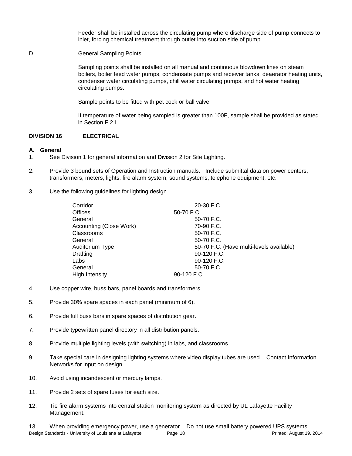Feeder shall be installed across the circulating pump where discharge side of pump connects to inlet, forcing chemical treatment through outlet into suction side of pump.

D. **General Sampling Points** 

Sampling points shall be installed on all manual and continuous blowdown lines on steam boilers, boiler feed water pumps, condensate pumps and receiver tanks, deaerator heating units, condenser water circulating pumps, chill water circulating pumps, and hot water heating circulating pumps.

Sample points to be fitted with pet cock or ball valve.

If temperature of water being sampled is greater than 100F, sample shall be provided as stated in Section F.2.i.

#### **DIVISION 16 ELECTRICAL**

#### **A. General**

- 1. See Division 1 for general information and Division 2 for Site Lighting.
- 2. Provide 3 bound sets of Operation and Instruction manuals. Include submittal data on power centers, transformers, meters, lights, fire alarm system, sound systems, telephone equipment, etc.
- 3. Use the following guidelines for lighting design.

| Corridor                | $20-30$ F.C.                             |
|-------------------------|------------------------------------------|
| <b>Offices</b>          | 50-70 F.C.                               |
| General                 | 50-70 F.C.                               |
| Accounting (Close Work) | 70-90 F.C.                               |
| Classrooms              | 50-70 F.C.                               |
| General                 | 50-70 F.C.                               |
| Auditorium Type         | 50-70 F.C. (Have multi-levels available) |
| <b>Drafting</b>         | 90-120 F.C.                              |
| Labs                    | 90-120 F.C.                              |
| General                 | 50-70 F.C.                               |
| High Intensity          | 90-120 F.C.                              |

- 4. Use copper wire, buss bars, panel boards and transformers.
- 5. Provide 30% spare spaces in each panel (minimum of 6).
- 6. Provide full buss bars in spare spaces of distribution gear.
- 7. Provide typewritten panel directory in all distribution panels.
- 8. Provide multiple lighting levels (with switching) in labs, and classrooms.
- 9. Take special care in designing lighting systems where video display tubes are used. Contact Information Networks for input on design.
- 10. Avoid using incandescent or mercury lamps.
- 11. Provide 2 sets of spare fuses for each size.
- 12. Tie fire alarm systems into central station monitoring system as directed by UL Lafayette Facility Management.

Design Standards - University of Louisiana at Lafayette Page 18 Printed: August 19, 2014 13. When providing emergency power, use a generator. Do not use small battery powered UPS systems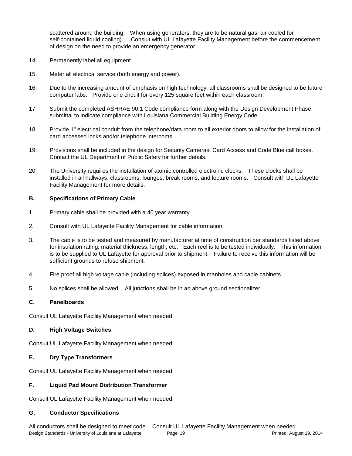scattered around the building. When using generators, they are to be natural gas, air cooled (or self-contained liquid cooling). Consult with UL Lafayette Facility Management before the commencement of design on the need to provide an emergency generator.

- 14. Permanently label all equipment.
- 15. Meter all electrical service (both energy and power).
- 16. Due to the increasing amount of emphasis on high technology, all classrooms shall be designed to be future computer labs. Provide one circuit for every 125 square feet within each classroom.
- 17. Submit the completed ASHRAE 90.1 Code compliance form along with the Design Development Phase submittal to indicate compliance with Louisiana Commercial Building Energy Code.
- 18. Provide 1" electrical conduit from the telephone/data room to all exterior doors to allow for the installation of card accessed locks and/or telephone intercoms.
- 19. Provisions shall be included in the design for Security Cameras, Card Access and Code Blue call boxes. Contact the UL Department of Public Safety for further details.
- 20. The University requires the installation of atomic controlled electronic clocks. These clocks shall be installed in all hallways, classrooms, lounges, break rooms, and lecture rooms. Consult with UL Lafayette Facility Management for more details.

#### **B. Specifications of Primary Cable**

- 1. Primary cable shall be provided with a 40 year warranty.
- 2. Consult with UL Lafayette Facility Management for cable information.
- 3. The cable is to be tested and measured by manufacturer at time of construction per standards listed above for insulation rating, material thickness, length, etc. Each reel is to be tested individually. This information is to be supplied to UL Lafayette for approval prior to shipment. Failure to receive this information will be sufficient grounds to refuse shipment.
- 4. Fire proof all high voltage cable (including splices) exposed in manholes and cable cabinets.
- 5. No splices shall be allowed. All junctions shall be in an above ground sectionalizer.

#### **C. Panelboards**

Consult UL Lafayette Facility Management when needed.

#### **D. High Voltage Switches**

Consult UL Lafayette Facility Management when needed.

#### **E. Dry Type Transformers**

Consult UL Lafayette Facility Management when needed.

#### **F. Liquid Pad Mount Distribution Transformer**

Consult UL Lafayette Facility Management when needed.

#### **G. Conductor Specifications**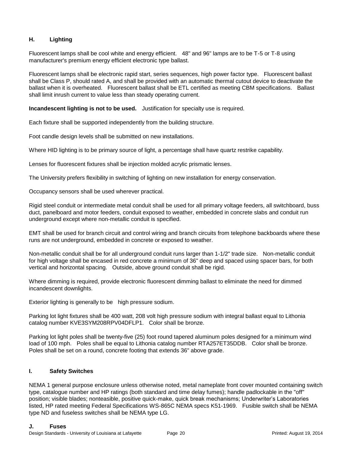### **H. Lighting**

Fluorescent lamps shall be cool white and energy efficient. 48" and 96" lamps are to be T-5 or T-8 using manufacturer's premium energy efficient electronic type ballast.

Fluorescent lamps shall be electronic rapid start, series sequences, high power factor type. Fluorescent ballast shall be Class P, should rated A, and shall be provided with an automatic thermal cutout device to deactivate the ballast when it is overheated. Fluorescent ballast shall be ETL certified as meeting CBM specifications. Ballast shall limit inrush current to value less than steady operating current.

**Incandescent lighting is not to be used.** Justification for specialty use is required.

Each fixture shall be supported independently from the building structure.

Foot candle design levels shall be submitted on new installations.

Where HID lighting is to be primary source of light, a percentage shall have quartz restrike capability.

Lenses for fluorescent fixtures shall be injection molded acrylic prismatic lenses.

The University prefers flexibility in switching of lighting on new installation for energy conservation.

Occupancy sensors shall be used wherever practical.

Rigid steel conduit or intermediate metal conduit shall be used for all primary voltage feeders, all switchboard, buss duct, panelboard and motor feeders, conduit exposed to weather, embedded in concrete slabs and conduit run underground except where non-metallic conduit is specified.

EMT shall be used for branch circuit and control wiring and branch circuits from telephone backboards where these runs are not underground, embedded in concrete or exposed to weather.

Non-metallic conduit shall be for all underground conduit runs larger than 1-1/2" trade size. Non-metallic conduit for high voltage shall be encased in red concrete a minimum of 36" deep and spaced using spacer bars, for both vertical and horizontal spacing. Outside, above ground conduit shall be rigid.

Where dimming is required, provide electronic fluorescent dimming ballast to eliminate the need for dimmed incandescent downlights.

Exterior lighting is generally to be high pressure sodium.

Parking lot light fixtures shall be 400 watt, 208 volt high pressure sodium with integral ballast equal to Lithonia catalog number KVE3SYM208RPV04DFLP1. Color shall be bronze.

Parking lot light poles shall be twenty-five (25) foot round tapered aluminum poles designed for a minimum wind load of 100 mph. Poles shall be equal to Lithonia catalog number RTA257ET35DDB. Color shall be bronze. Poles shall be set on a round, concrete footing that extends 36" above grade.

#### **I. Safety Switches**

NEMA 1 general purpose enclosure unless otherwise noted, metal nameplate front cover mounted containing switch type, catalogue number and HP ratings (both standard and time delay fumes); handle padlockable in the "off" position; visible blades; nonteasible, positive quick-make, quick break mechanisms; Underwriter's Laboratories listed, HP rated meeting Federal Specifications WS-865C NEMA specs K51-1969. Fusible switch shall be NEMA type ND and fuseless switches shall be NEMA type LG.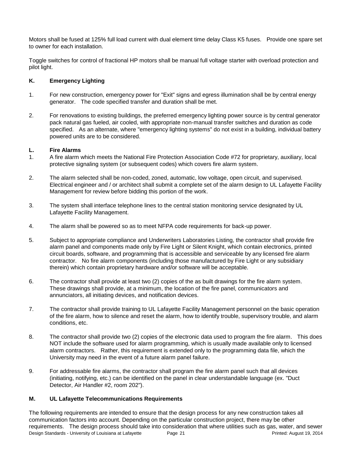Motors shall be fused at 125% full load current with dual element time delay Class K5 fuses. Provide one spare set to owner for each installation.

Toggle switches for control of fractional HP motors shall be manual full voltage starter with overload protection and pilot light.

#### **K. Emergency Lighting**

- 1. For new construction, emergency power for "Exit" signs and egress illumination shall be by central energy generator. The code specified transfer and duration shall be met.
- 2. For renovations to existing buildings, the preferred emergency lighting power source is by central generator pack natural gas fueled, air cooled, with appropriate non-manual transfer switches and duration as code specified. As an alternate, where "emergency lighting systems" do not exist in a building, individual battery powered units are to be considered.

#### **L. Fire Alarms**

- 1. A fire alarm which meets the National Fire Protection Association Code #72 for proprietary, auxiliary, local protective signaling system (or subsequent codes) which covers fire alarm system.
- 2. The alarm selected shall be non-coded, zoned, automatic, low voltage, open circuit, and supervised. Electrical engineer and / or architect shall submit a complete set of the alarm design to UL Lafayette Facility Management for review before bidding this portion of the work.
- 3. The system shall interface telephone lines to the central station monitoring service designated by UL Lafayette Facility Management.
- 4. The alarm shall be powered so as to meet NFPA code requirements for back-up power.
- 5. Subject to appropriate compliance and Underwriters Laboratories Listing, the contractor shall provide fire alarm panel and components made only by Fire Light or Silent Knight, which contain electronics, printed circuit boards, software, and programming that is accessible and serviceable by any licensed fire alarm contractor. No fire alarm components (including those manufactured by Fire Light or any subsidiary therein) which contain proprietary hardware and/or software will be acceptable.
- 6. The contractor shall provide at least two (2) copies of the as built drawings for the fire alarm system. These drawings shall provide, at a minimum, the location of the fire panel, communicators and annunciators, all initiating devices, and notification devices.
- 7. The contractor shall provide training to UL Lafayette Facility Management personnel on the basic operation of the fire alarm, how to silence and reset the alarm, how to identify trouble, supervisory trouble, and alarm conditions, etc.
- 8. The contractor shall provide two (2) copies of the electronic data used to program the fire alarm. This does NOT include the software used for alarm programming, which is usually made available only to licensed alarm contractors. Rather, this requirement is extended only to the programming data file, which the University may need in the event of a future alarm panel failure.
- 9. For addressable fire alarms, the contractor shall program the fire alarm panel such that all devices (initiating, notifying, etc.) can be identified on the panel in clear understandable language (ex. "Duct Detector, Air Handler #2, room 202").

#### **M. UL Lafayette Telecommunications Requirements**

Design Standards - University of Louisiana at Lafayette Page 21 Printed: August 19, 2014 The following requirements are intended to ensure that the design process for any new construction takes all communication factors into account. Depending on the particular construction project, there may be other requirements. The design process should take into consideration that where utilities such as gas, water, and sewer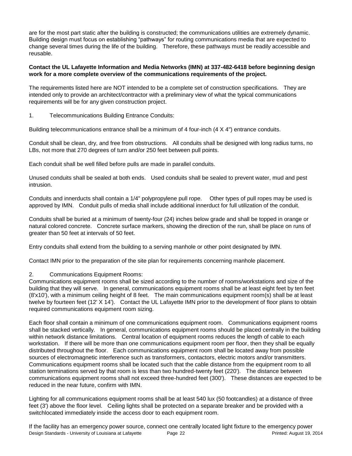are for the most part static after the building is constructed; the communications utilities are extremely dynamic. Building design must focus on establishing "pathways" for routing communications media that are expected to change several times during the life of the building. Therefore, these pathways must be readily accessible and reusable.

#### **Contact the UL Lafayette Information and Media Networks (IMN) at 337-482-6418 before beginning design work for a more complete overview of the communications requirements of the project.**

The requirements listed here are NOT intended to be a complete set of construction specifications. They are intended only to provide an architect/contractor with a preliminary view of what the typical communications requirements will be for any given construction project.

1. Telecommunications Building Entrance Conduits:

Building telecommunications entrance shall be a minimum of 4 four-inch (4 X 4") entrance conduits.

Conduit shall be clean, dry, and free from obstructions. All conduits shall be designed with long radius turns, no LBs, not more that 270 degrees of turn and/or 250 feet between pull points.

Each conduit shall be well filled before pulls are made in parallel conduits.

Unused conduits shall be sealed at both ends. Used conduits shall be sealed to prevent water, mud and pest intrusion.

Conduits and innerducts shall contain a 1/4" polypropylene pull rope. Other types of pull ropes may be used is approved by IMN. Conduit pulls of media shall include additional innerduct for full utilization of the conduit.

Conduits shall be buried at a minimum of twenty-four (24) inches below grade and shall be topped in orange or natural colored concrete. Concrete surface markers, showing the direction of the run, shall be place on runs of greater than 50 feet at intervals of 50 feet.

Entry conduits shall extend from the building to a serving manhole or other point designated by IMN.

Contact IMN prior to the preparation of the site plan for requirements concerning manhole placement.

2. Communications Equipment Rooms:

Communications equipment rooms shall be sized according to the number of rooms/workstations and size of the building that they will serve. In general, communications equipment rooms shall be at least eight feet by ten feet (8'x10'), with a minimum ceiling height of 8 feet. The main communications equipment room(s) shall be at least twelve by fourteen feet (12' X 14'). Contact the UL Lafayette IMN prior to the development of floor plans to obtain required communications equipment room sizing.

Each floor shall contain a minimum of one communications equipment room. Communications equipment rooms shall be stacked vertically. In general, communications equipment rooms should be placed centrally in the building within network distance limitations. Central location of equipment rooms reduces the length of cable to each workstation. If there will be more than one communications equipment room per floor, then they shall be equally distributed throughout the floor. Each communications equipment room shall be located away from possible sources of electromagnetic interference such as transformers, contactors, electric motors and/or transmitters. Communications equipment rooms shall be located such that the cable distance from the equipment room to all station terminations served by that room is less than two hundred-twenty feet (220'). The distance between communications equipment rooms shall not exceed three-hundred feet (300'). These distances are expected to be reduced in the near future, confirm with IMN.

Lighting for all communications equipment rooms shall be at least 540 lux (50 footcandles) at a distance of three feet (3') above the floor level. Ceiling lights shall be protected on a separate breaker and be provided with a switchlocated immediately inside the access door to each equipment room.

Design Standards - University of Louisiana at Lafayette Page 22 Printed: August 19, 2014 If the facility has an emergency power source, connect one centrally located light fixture to the emergency power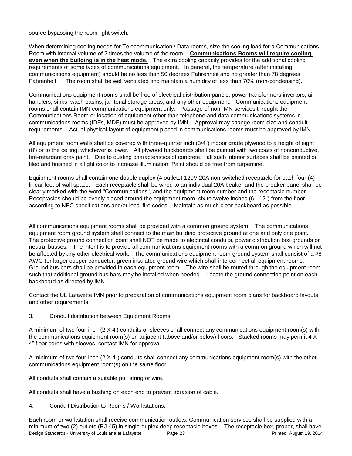source bypassing the room light switch.

When determining cooling needs for Telecommunication / Data rooms, size the cooling load for a Communications Room with internal volume of 2 times the volume of the room. **Communications Rooms will require cooling even when the building is in the heat mode.** The extra cooling capacity provides for the additional cooling requirements of some types of communications equipment. In general, the temperature (after installing communications equipment) should be no less than 50 degrees Fahrenheit and no greater than 78 degrees Fahrenheit. The room shall be well ventilated and maintain a humidity of less than 70% (non-condensing).

Communications equipment rooms shall be free of electrical distribution panels, power transformers invertors, air handlers, sinks, wash basins, janitorial storage areas, and any other equipment. Communications equipment rooms shall contain IMN communications equipment only. Passage of non-IMN services throught the Communications Room or location of equipment other than telephone and data communications systems in communications rooms (IDFs, MDF) must be approved by IMN. Approval may change room size and conduit requirements. Actual physical layout of equipment placed in communications rooms must be approved by IMN.

All equipment room walls shall be covered with three-quarter inch (3/4") indoor grade plywood to a height of eight (8') or to the ceiling, whichever is lower. All plywood backboards shall be painted with two coats of nonconductive, fire-retardant gray paint. Due to dusting characteristics of concrete, all such interior surfaces shall be painted or tiled and finished in a light color to increase illumination. Paint should be free from turpentine.

Equipment rooms shall contain one double duplex (4 outlets) 120V 20A non-switched receptacle for each four (4) linear feet of wall space. Each receptacle shall be wired to an individual 20A beaker and the breaker panel shall be clearly marked with the word "Communications", and the equipment room number and the receptacle number. Receptacles should be evenly placed around the equipment room, six to twelve inches (6 - 12") from the floor, according to NEC specifications and/or local fire codes. Maintain as much clear backboard as possible.

All communications equipment rooms shall be provided with a common ground system. The communications equipment room ground system shall connect to the main building protective ground at one and only one point. The protective ground connection point shall NOT be made to electrical conduits, power distribution box grounds or neutral busses. The intent is to provide all communications equipment rooms with a common ground which will not be affected by any other electrical work. The communications equipment room ground system shall consist of a #8 AWG (or larger copper conductor, green insulated ground wire which shall interconnect all equipment rooms. Ground bus bars shall be provided in each equipment room. The wire shall be routed through the equipment room such that additional ground bus bars may be installed when needed. Locate the ground connection point on each backboard as directed by IMN.

Contact the UL Lafayette IMN prior to preparation of communications equipment room plans for backboard layouts and other requirements.

3. Conduit distribution between Equipment Rooms:

A minimum of two four-inch (2 X 4') conduits or sleeves shall connect any communications equipment room(s) with the communications equipment room(s) on adjacent (above and/or below) floors. Stacked rooms may permit 4 X 4" floor cores with sleeves, contact IMN for approval.

A minimum of two four-inch (2 X 4") conduits shall connect any communications equipment room(s) with the other communications equipment room(s) on the same floor.

All conduits shall contain a suitable pull string or wire.

All conduits shall have a bushing on each end to prevent abrasion of cable.

4. Conduit Distribution to Rooms / Workstations:

Design Standards - University of Louisiana at Lafayette Page 23 Printed: August 19, 2014 Each room or workstation shall receive communication outlets. Communication services shall be supplied with a minimum of two (2) outlets (RJ-45) in single-duplex deep receptacle boxes. The receptacle box, proper, shall have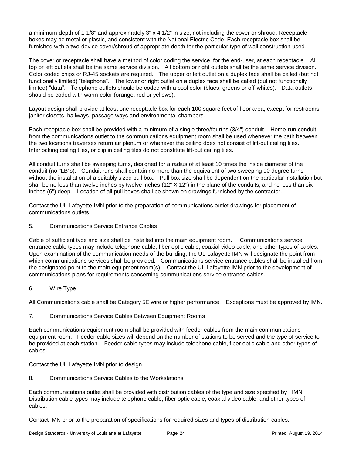a minimum depth of 1-1/8" and approximately 3" x 4 1/2" in size, not including the cover or shroud. Receptacle boxes may be metal or plastic, and consistent with the National Electric Code. Each receptacle box shall be furnished with a two-device cover/shroud of appropriate depth for the particular type of wall construction used.

The cover or receptacle shall have a method of color coding the service, for the end-user, at each receptacle. All top or left outlets shall be the same service division. All bottom or right outlets shall be the same service division. Color coded chips or RJ-45 sockets are required. The upper or left outlet on a duplex face shall be called (but not functionally limited) "telephone". The lower or right outlet on a duplex face shall be called (but not functionally limited) "data". Telephone outlets should be coded with a cool color (blues, greens or off-whites). Data outlets should be coded with warm color (orange, red or yellows).

Layout design shall provide at least one receptacle box for each 100 square feet of floor area, except for restrooms, janitor closets, hallways, passage ways and environmental chambers.

Each receptacle box shall be provided with a minimum of a single three/fourths (3/4") conduit. Home-run conduit from the communications outlet to the communications equipment room shall be used whenever the path between the two locations traverses return air plenum or whenever the ceiling does not consist of lift-out ceiling tiles. Interlocking ceiling tiles, or clip in ceiling tiles do not constitute lift-out ceiling tiles.

All conduit turns shall be sweeping turns, designed for a radius of at least 10 times the inside diameter of the conduit (no "LB"s). Conduit runs shall contain no more than the equivalent of two sweeping 90 degree turns without the installation of a suitably sized pull box. Pull box size shall be dependent on the particular installation but shall be no less than twelve inches by twelve inches (12" X 12") in the plane of the conduits, and no less than six inches (6") deep. Location of all pull boxes shall be shown on drawings furnished by the contractor.

Contact the UL Lafayette IMN prior to the preparation of communications outlet drawings for placement of communications outlets.

5. Communications Service Entrance Cables

Cable of sufficient type and size shall be installed into the main equipment room. Communications service entrance cable types may include telephone cable, fiber optic cable, coaxial video cable, and other types of cables. Upon examination of the communication needs of the building, the UL Lafayette IMN will designate the point from which communications services shall be provided. Communications service entrance cables shall be installed from the designated point to the main equipment room(s). Contact the UL Lafayette IMN prior to the development of communications plans for requirements concerning communications service entrance cables.

6. Wire Type

All Communications cable shall be Category 5E wire or higher performance. Exceptions must be approved by IMN.

7. Communications Service Cables Between Equipment Rooms

Each communications equipment room shall be provided with feeder cables from the main communications equipment room. Feeder cable sizes will depend on the number of stations to be served and the type of service to be provided at each station. Feeder cable types may include telephone cable, fiber optic cable and other types of cables.

Contact the UL Lafayette IMN prior to design.

8. Communications Service Cables to the Workstations

Each communications outlet shall be provided with distribution cables of the type and size specified by IMN. Distribution cable types may include telephone cable, fiber optic cable, coaxial video cable, and other types of cables.

Contact IMN prior to the preparation of specifications for required sizes and types of distribution cables.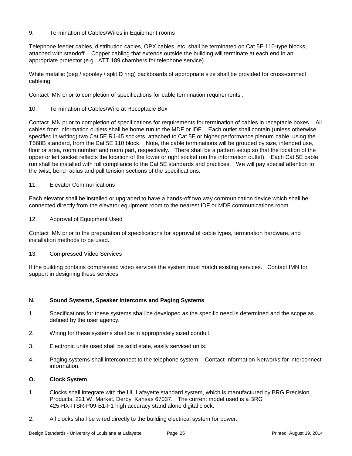#### 9. Termination of Cables/Wires in Equipment rooms

Telephone feeder cables, distribution cables, OPX cables, etc. shall be terminated on Cat 5E 110-type blocks, attached with standoff. Copper cabling that extends outside the building will terminate at each end in an appropriate protector (e.g., ATT 189 chambers for telephone service).

White metallic (peg / spooley / split D ring) backboards of appropriate size shall be provided for cross-connect cableing.

Contact IMN prior to completion of specifications for cable termination requirements .

10. Termination of Cables/Wire at Receptacle Box

Contact IMN prior to completion of specifications for requirements for termination of cables in receptacle boxes. All cables from information outlets shall be home run to the MDF or IDF. Each outlet shall contain (unless otherwise specified in writing) two Cat 5E RJ-45 sockets, attached to Cat 5E or higher performance plenum cable, using the T568B standard, from the Cat 5E 110 block. Note, the cable terminations will be grouped by size, intended use, floor or area, room number and room part, respectively. There shall be a pattern setup so that the location of the upper or left socket reflects the location of the lower or right socket (on the information outlet). Each Cat 5E cable run shall be installed with full compliance to the Cat 5E standards and practices. We will pay special attention to the twist, bend radius and pull tension sections of the specifications.

#### 11. **Elevator Communications**

Each elevator shall be installed or upgraded to have a hands-off two way communication device which shall be connected directly from the elevator equipment room to the nearest IDF or MDF communications room.

12. Approval of Equipment Used

Contact IMN prior to the preparation of specifications for approval of cable types, termination hardware, and installation methods to be used.

#### 13. Compressed Video Services

If the building contains compressed video services the system must match existing services. Contact IMN for support in designing these services.

#### **N. Sound Systems, Speaker Intercoms and Paging Systems**

- 1. Specifications for these systems shall be developed as the specific need is determined and the scope as defined by the user agency.
- 2. Wiring for these systems shall be in appropriately sized conduit.
- 3. Electronic units used shall be solid state, easily serviced units.
- 4. Paging systems shall interconnect to the telephone system. Contact Information Networks for interconnect information.

#### **O. Clock System**

- 1. Clocks shall integrate with the UL Lafayette standard system, which is manufactured by BRG Precision Products, 221 W. Market, Derby, Kansas 67037. The current model used is a BRG 425-HX-ITSR-P09-B1-F1 high accuracy stand alone digital clock.
- 2. All clocks shall be wired directly to the building electrical system for power.